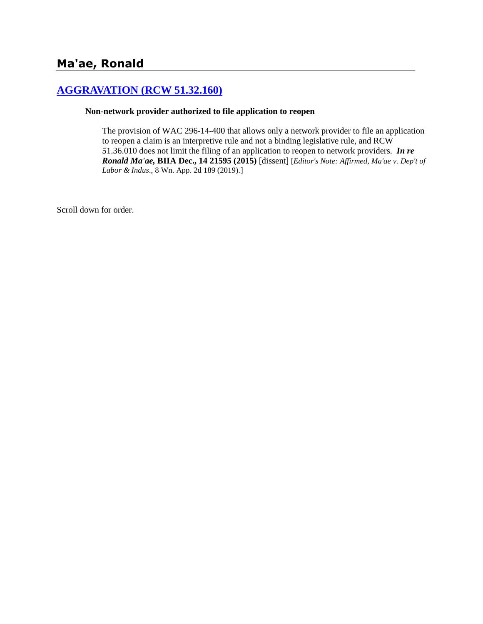# **[AGGRAVATION \(RCW 51.32.160\)](http://www.biia.wa.gov/SDSubjectIndex.html#AGGRAVATION)**

#### **Non-network provider authorized to file application to reopen**

The provision of WAC 296-14-400 that allows only a network provider to file an application to reopen a claim is an interpretive rule and not a binding legislative rule, and RCW 51.36.010 does not limit the filing of an application to reopen to network providers. *In re Ronald Ma'ae,* **BIIA Dec., 14 21595 (2015)** [dissent] [*Editor's Note: Affirmed, Ma'ae v. Dep't of Labor & Indus*., 8 Wn. App. 2d 189 (2019).]

Scroll down for order.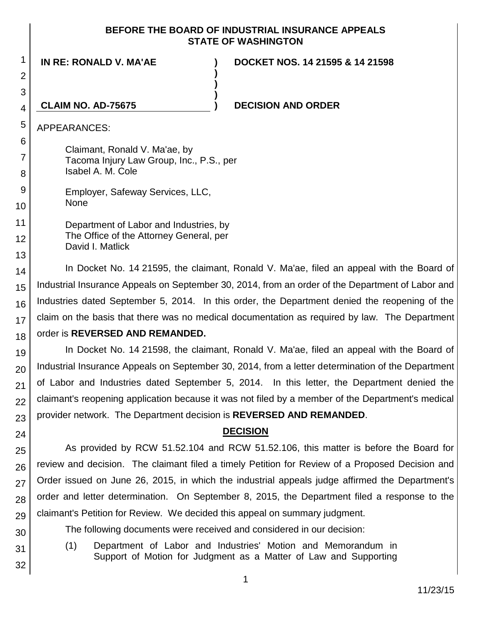#### **BEFORE THE BOARD OF INDUSTRIAL INSURANCE APPEALS STATE OF WASHINGTON**

**)**

**) )**

**IN RE: RONALD V. MA'AE ) DOCKET NOS. 14 21595 & 14 21598**

#### 4 **CLAIM NO. AD-75675**

#### **) DECISION AND ORDER**

APPEARANCES:

1

2

3

5

6 7

8

11

12

13

Claimant, Ronald V. Ma'ae, by Tacoma Injury Law Group, Inc., P.S., per Isabel A. M. Cole

9 10 Employer, Safeway Services, LLC, None

> Department of Labor and Industries, by The Office of the Attorney General, per David I. Matlick

14 15 16 17 18 In Docket No. 14 21595, the claimant, Ronald V. Ma'ae, filed an appeal with the Board of Industrial Insurance Appeals on September 30, 2014, from an order of the Department of Labor and Industries dated September 5, 2014. In this order, the Department denied the reopening of the claim on the basis that there was no medical documentation as required by law. The Department order is **REVERSED AND REMANDED.**

19 20 21 22 23 In Docket No. 14 21598, the claimant, Ronald V. Ma'ae, filed an appeal with the Board of Industrial Insurance Appeals on September 30, 2014, from a letter determination of the Department of Labor and Industries dated September 5, 2014. In this letter, the Department denied the claimant's reopening application because it was not filed by a member of the Department's medical provider network. The Department decision is **REVERSED AND REMANDED**.

### **DECISION**

25 26 27 28 29 As provided by RCW 51.52.104 and RCW 51.52.106, this matter is before the Board for review and decision. The claimant filed a timely Petition for Review of a Proposed Decision and Order issued on June 26, 2015, in which the industrial appeals judge affirmed the Department's order and letter determination. On September 8, 2015, the Department filed a response to the claimant's Petition for Review. We decided this appeal on summary judgment.

The following documents were received and considered in our decision:

- (1) Department of Labor and Industries' Motion and Memorandum in Support of Motion for Judgment as a Matter of Law and Supporting
- 32

30

31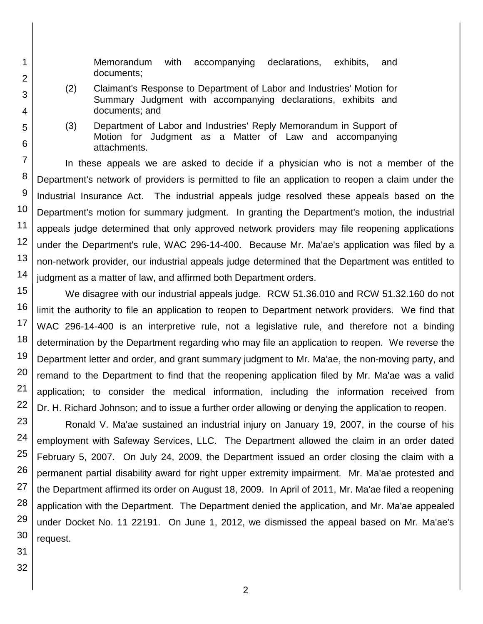Memorandum with accompanying declarations, exhibits, and documents;

- (2) Claimant's Response to Department of Labor and Industries' Motion for Summary Judgment with accompanying declarations, exhibits and documents; and
- (3) Department of Labor and Industries' Reply Memorandum in Support of Motion for Judgment as a Matter of Law and accompanying attachments.

7 10 12 13 14 In these appeals we are asked to decide if a physician who is not a member of the Department's network of providers is permitted to file an application to reopen a claim under the Industrial Insurance Act. The industrial appeals judge resolved these appeals based on the Department's motion for summary judgment. In granting the Department's motion, the industrial appeals judge determined that only approved network providers may file reopening applications under the Department's rule, WAC 296-14-400. Because Mr. Ma'ae's application was filed by a non-network provider, our industrial appeals judge determined that the Department was entitled to judgment as a matter of law, and affirmed both Department orders.

15 16 17 18 19 20 21 22 We disagree with our industrial appeals judge. RCW 51.36.010 and RCW 51.32.160 do not limit the authority to file an application to reopen to Department network providers. We find that WAC 296-14-400 is an interpretive rule, not a legislative rule, and therefore not a binding determination by the Department regarding who may file an application to reopen. We reverse the Department letter and order, and grant summary judgment to Mr. Ma'ae, the non-moving party, and remand to the Department to find that the reopening application filed by Mr. Ma'ae was a valid application; to consider the medical information, including the information received from Dr. H. Richard Johnson; and to issue a further order allowing or denying the application to reopen.

23 24 25 Ronald V. Ma'ae sustained an industrial injury on January 19, 2007, in the course of his employment with Safeway Services, LLC. The Department allowed the claim in an order dated February 5, 2007. On July 24, 2009, the Department issued an order closing the claim with a permanent partial disability award for right upper extremity impairment. Mr. Ma'ae protested and the Department affirmed its order on August 18, 2009. In April of 2011, Mr. Ma'ae filed a reopening application with the Department. The Department denied the application, and Mr. Ma'ae appealed under Docket No. 11 22191. On June 1, 2012, we dismissed the appeal based on Mr. Ma'ae's request.

32

1

2

3

4

5

6

8

9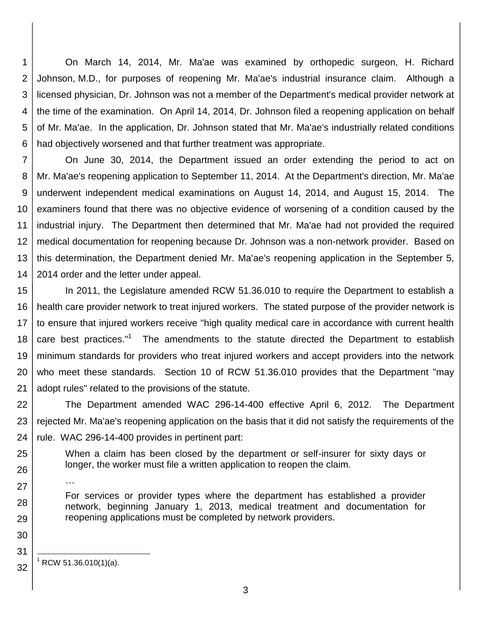1 2 3 4 5 6 On March 14, 2014, Mr. Ma'ae was examined by orthopedic surgeon, H. Richard Johnson, M.D., for purposes of reopening Mr. Ma'ae's industrial insurance claim. Although a licensed physician, Dr. Johnson was not a member of the Department's medical provider network at the time of the examination. On April 14, 2014, Dr. Johnson filed a reopening application on behalf of Mr. Ma'ae. In the application, Dr. Johnson stated that Mr. Ma'ae's industrially related conditions had objectively worsened and that further treatment was appropriate.

7 8 9 10 11 12 13 14 On June 30, 2014, the Department issued an order extending the period to act on Mr. Ma'ae's reopening application to September 11, 2014. At the Department's direction, Mr. Ma'ae underwent independent medical examinations on August 14, 2014, and August 15, 2014. The examiners found that there was no objective evidence of worsening of a condition caused by the industrial injury. The Department then determined that Mr. Ma'ae had not provided the required medical documentation for reopening because Dr. Johnson was a non-network provider. Based on this determination, the Department denied Mr. Ma'ae's reopening application in the September 5, 2014 order and the letter under appeal.

15 16 17 18 19 20 21 In 2011, the Legislature amended RCW 51.36.010 to require the Department to establish a health care provider network to treat injured workers. The stated purpose of the provider network is to ensure that injured workers receive "high quality medical care in accordance with current health care best practices."<sup>1</sup> The amendments to the statute directed the Department to establish minimum standards for providers who treat injured workers and accept providers into the network who meet these standards. Section 10 of RCW 51.36.010 provides that the Department "may adopt rules" related to the provisions of the statute.

22 23 24 The Department amended WAC 296-14-400 effective April 6, 2012. The Department rejected Mr. Ma'ae's reopening application on the basis that it did not satisfy the requirements of the rule. WAC 296-14-400 provides in pertinent part:

25 26 When a claim has been closed by the department or self-insurer for sixty days or longer, the worker must file a written application to reopen the claim.

27

For services or provider types where the department has established a provider network, beginning January 1, 2013, medical treatment and documentation for reopening applications must be completed by network providers.

29 30

31

32

28

l  $^1$  RCW 51.36.010(1)(a).

…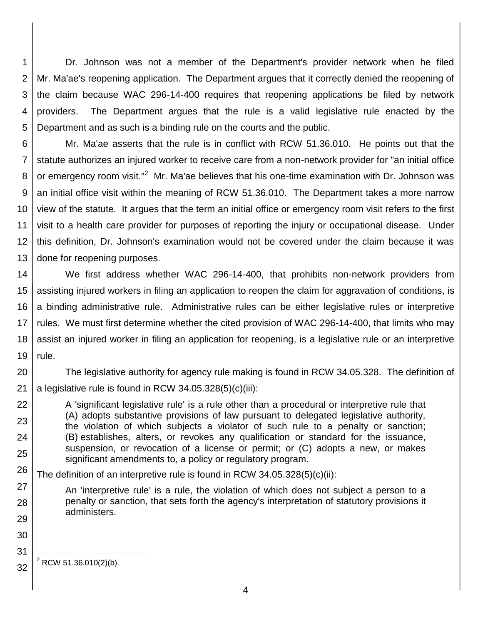1 2 3 4 5 Dr. Johnson was not a member of the Department's provider network when he filed Mr. Ma'ae's reopening application. The Department argues that it correctly denied the reopening of the claim because WAC 296-14-400 requires that reopening applications be filed by network providers. The Department argues that the rule is a valid legislative rule enacted by the Department and as such is a binding rule on the courts and the public.

6 7 8 9 10 11 12 13 Mr. Ma'ae asserts that the rule is in conflict with RCW 51.36.010. He points out that the statute authorizes an injured worker to receive care from a non-network provider for "an initial office or emergency room visit."<sup>2</sup> Mr. Ma'ae believes that his one-time examination with Dr. Johnson was an initial office visit within the meaning of RCW 51.36.010. The Department takes a more narrow view of the statute. It argues that the term an initial office or emergency room visit refers to the first visit to a health care provider for purposes of reporting the injury or occupational disease. Under this definition, Dr. Johnson's examination would not be covered under the claim because it was done for reopening purposes.

14 15 16 17 18 19 We first address whether WAC 296-14-400, that prohibits non-network providers from assisting injured workers in filing an application to reopen the claim for aggravation of conditions, is a binding administrative rule. Administrative rules can be either legislative rules or interpretive rules. We must first determine whether the cited provision of WAC 296-14-400, that limits who may assist an injured worker in filing an application for reopening, is a legislative rule or an interpretive rule.

20

22

23

24

25

27

28

29

30

21 The legislative authority for agency rule making is found in RCW 34.05.328. The definition of a legislative rule is found in RCW 34.05.328(5)(c)(iii):

A 'significant legislative rule' is a rule other than a procedural or interpretive rule that (A) adopts substantive provisions of law pursuant to delegated legislative authority, the violation of which subjects a violator of such rule to a penalty or sanction; (B) establishes, alters, or revokes any qualification or standard for the issuance, suspension, or revocation of a license or permit; or (C) adopts a new, or makes significant amendments to, a policy or regulatory program.

26 The definition of an interpretive rule is found in RCW  $34.05.328(5)(c)(ii)$ :

An 'interpretive rule' is a rule, the violation of which does not subject a person to a penalty or sanction, that sets forth the agency's interpretation of statutory provisions it administers.

31 32

l  $2$  RCW 51.36.010(2)(b).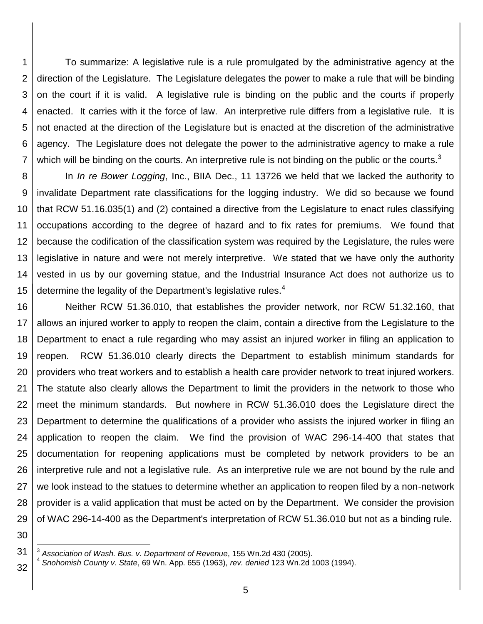1 2 3 4 5 6 7 To summarize: A legislative rule is a rule promulgated by the administrative agency at the direction of the Legislature. The Legislature delegates the power to make a rule that will be binding on the court if it is valid. A legislative rule is binding on the public and the courts if properly enacted. It carries with it the force of law. An interpretive rule differs from a legislative rule. It is not enacted at the direction of the Legislature but is enacted at the discretion of the administrative agency. The Legislature does not delegate the power to the administrative agency to make a rule which will be binding on the courts. An interpretive rule is not binding on the public or the courts.<sup>3</sup>

8 9 10 11 12 13 14 15 In *In re Bower Logging*, Inc., BIIA Dec., 11 13726 we held that we lacked the authority to invalidate Department rate classifications for the logging industry. We did so because we found that RCW 51.16.035(1) and (2) contained a directive from the Legislature to enact rules classifying occupations according to the degree of hazard and to fix rates for premiums. We found that because the codification of the classification system was required by the Legislature, the rules were legislative in nature and were not merely interpretive. We stated that we have only the authority vested in us by our governing statue, and the Industrial Insurance Act does not authorize us to determine the legality of the Department's legislative rules. $4$ 

16 17 18 19 20 21 22 23 24 25 26 27 28 29 Neither RCW 51.36.010, that establishes the provider network, nor RCW 51.32.160, that allows an injured worker to apply to reopen the claim, contain a directive from the Legislature to the Department to enact a rule regarding who may assist an injured worker in filing an application to reopen. RCW 51.36.010 clearly directs the Department to establish minimum standards for providers who treat workers and to establish a health care provider network to treat injured workers. The statute also clearly allows the Department to limit the providers in the network to those who meet the minimum standards. But nowhere in RCW 51.36.010 does the Legislature direct the Department to determine the qualifications of a provider who assists the injured worker in filing an application to reopen the claim. We find the provision of WAC 296-14-400 that states that documentation for reopening applications must be completed by network providers to be an interpretive rule and not a legislative rule. As an interpretive rule we are not bound by the rule and we look instead to the statues to determine whether an application to reopen filed by a non-network provider is a valid application that must be acted on by the Department. We consider the provision of WAC 296-14-400 as the Department's interpretation of RCW 51.36.010 but not as a binding rule.

30

l

<sup>31</sup> 3 *Association of Wash. Bus. v. Department of Revenue*, 155 Wn.2d 430 (2005).

<sup>32</sup> 4 *Snohomish County v. State*, 69 Wn. App. 655 (1963), *rev. denied* 123 Wn.2d 1003 (1994).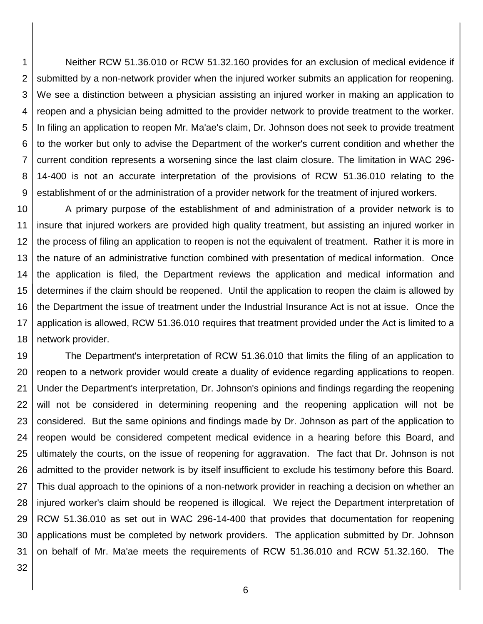1 2 3 4 5 6 7 8 9 Neither RCW 51.36.010 or RCW 51.32.160 provides for an exclusion of medical evidence if submitted by a non-network provider when the injured worker submits an application for reopening. We see a distinction between a physician assisting an injured worker in making an application to reopen and a physician being admitted to the provider network to provide treatment to the worker. In filing an application to reopen Mr. Ma'ae's claim, Dr. Johnson does not seek to provide treatment to the worker but only to advise the Department of the worker's current condition and whether the current condition represents a worsening since the last claim closure. The limitation in WAC 296- 14-400 is not an accurate interpretation of the provisions of RCW 51.36.010 relating to the establishment of or the administration of a provider network for the treatment of injured workers.

10 11 12 13 14 15 16 17 18 A primary purpose of the establishment of and administration of a provider network is to insure that injured workers are provided high quality treatment, but assisting an injured worker in the process of filing an application to reopen is not the equivalent of treatment. Rather it is more in the nature of an administrative function combined with presentation of medical information. Once the application is filed, the Department reviews the application and medical information and determines if the claim should be reopened. Until the application to reopen the claim is allowed by the Department the issue of treatment under the Industrial Insurance Act is not at issue. Once the application is allowed, RCW 51.36.010 requires that treatment provided under the Act is limited to a network provider.

19 20 21 22 23 24 25 26 27 28 29 30 31 The Department's interpretation of RCW 51.36.010 that limits the filing of an application to reopen to a network provider would create a duality of evidence regarding applications to reopen. Under the Department's interpretation, Dr. Johnson's opinions and findings regarding the reopening will not be considered in determining reopening and the reopening application will not be considered. But the same opinions and findings made by Dr. Johnson as part of the application to reopen would be considered competent medical evidence in a hearing before this Board, and ultimately the courts, on the issue of reopening for aggravation. The fact that Dr. Johnson is not admitted to the provider network is by itself insufficient to exclude his testimony before this Board. This dual approach to the opinions of a non-network provider in reaching a decision on whether an injured worker's claim should be reopened is illogical. We reject the Department interpretation of RCW 51.36.010 as set out in WAC 296-14-400 that provides that documentation for reopening applications must be completed by network providers. The application submitted by Dr. Johnson on behalf of Mr. Ma'ae meets the requirements of RCW 51.36.010 and RCW 51.32.160. The

32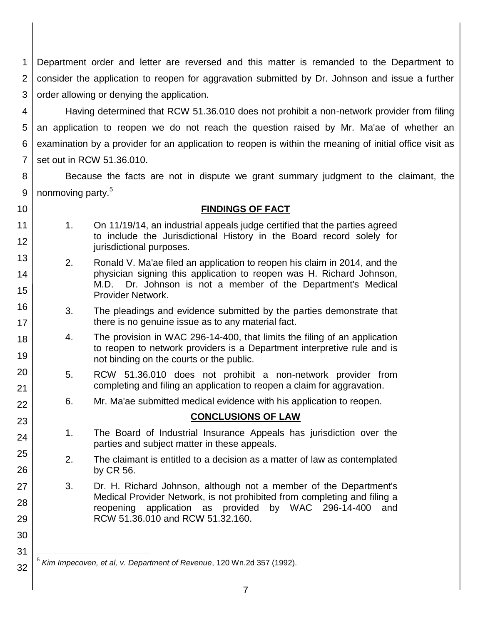1 2 3 Department order and letter are reversed and this matter is remanded to the Department to consider the application to reopen for aggravation submitted by Dr. Johnson and issue a further order allowing or denying the application.

4 5 6 7 Having determined that RCW 51.36.010 does not prohibit a non-network provider from filing an application to reopen we do not reach the question raised by Mr. Ma'ae of whether an examination by a provider for an application to reopen is within the meaning of initial office visit as set out in RCW 51.36.010.

8 9 Because the facts are not in dispute we grant summary judgment to the claimant, the nonmoving party.<sup>5</sup>

10

11

12

13

14

15

16

17 18

19

20

21 22

23

24

25

26

27

28

29

30

31

32

# **FINDINGS OF FACT**

- 1. On 11/19/14, an industrial appeals judge certified that the parties agreed to include the Jurisdictional History in the Board record solely for jurisdictional purposes.
	- 2. Ronald V. Ma'ae filed an application to reopen his claim in 2014, and the physician signing this application to reopen was H. Richard Johnson, M.D. Dr. Johnson is not a member of the Department's Medical Provider Network.
	- 3. The pleadings and evidence submitted by the parties demonstrate that there is no genuine issue as to any material fact.
	- 4. The provision in WAC 296-14-400, that limits the filing of an application to reopen to network providers is a Department interpretive rule and is not binding on the courts or the public.
- 5. RCW 51.36.010 does not prohibit a non-network provider from completing and filing an application to reopen a claim for aggravation.
- 6. Mr. Ma'ae submitted medical evidence with his application to reopen.

## **CONCLUSIONS OF LAW**

- 1. The Board of Industrial Insurance Appeals has jurisdiction over the parties and subject matter in these appeals.
- 2. The claimant is entitled to a decision as a matter of law as contemplated by CR 56.
- 3. Dr. H. Richard Johnson, although not a member of the Department's Medical Provider Network, is not prohibited from completing and filing a reopening application as provided by WAC 296-14-400 and RCW 51.36.010 and RCW 51.32.160.

l 5 *Kim Impecoven, et al, v. Department of Revenue*, 120 Wn.2d 357 (1992).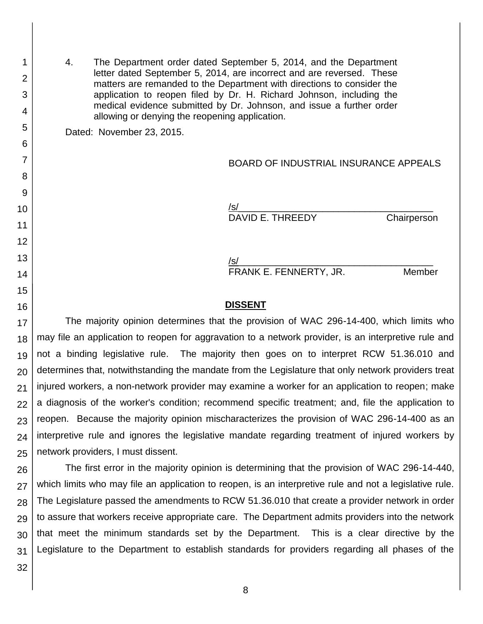4. The Department order dated September 5, 2014, and the Department letter dated September 5, 2014, are incorrect and are reversed. These matters are remanded to the Department with directions to consider the application to reopen filed by Dr. H. Richard Johnson, including the medical evidence submitted by Dr. Johnson, and issue a further order allowing or denying the reopening application.

Dated: November 23, 2015.

BOARD OF INDUSTRIAL INSURANCE APPEALS

/s/\_\_\_\_\_\_\_\_\_\_\_\_\_\_\_\_\_\_\_\_\_\_\_\_\_\_\_\_\_\_\_\_\_\_\_\_\_ DAVID E. THREEDY Chairperson

/s/\_\_\_\_\_\_\_\_\_\_\_\_\_\_\_\_\_\_\_\_\_\_\_\_\_\_\_\_\_\_\_\_\_\_\_\_\_ FRANK E. FENNERTY, JR. Member

#### **DISSENT**

17 18 19 20 21 22 23 24 25 The majority opinion determines that the provision of WAC 296-14-400, which limits who may file an application to reopen for aggravation to a network provider, is an interpretive rule and not a binding legislative rule. The majority then goes on to interpret RCW 51.36.010 and determines that, notwithstanding the mandate from the Legislature that only network providers treat injured workers, a non-network provider may examine a worker for an application to reopen; make a diagnosis of the worker's condition; recommend specific treatment; and, file the application to reopen. Because the majority opinion mischaracterizes the provision of WAC 296-14-400 as an interpretive rule and ignores the legislative mandate regarding treatment of injured workers by network providers, I must dissent.

26 27 28 29 30 31 The first error in the majority opinion is determining that the provision of WAC 296-14-440, which limits who may file an application to reopen, is an interpretive rule and not a legislative rule. The Legislature passed the amendments to RCW 51.36.010 that create a provider network in order to assure that workers receive appropriate care. The Department admits providers into the network that meet the minimum standards set by the Department. This is a clear directive by the Legislature to the Department to establish standards for providers regarding all phases of the

32

1

2

3

4

5

6

7

8

9

10

11

12

13

14

15